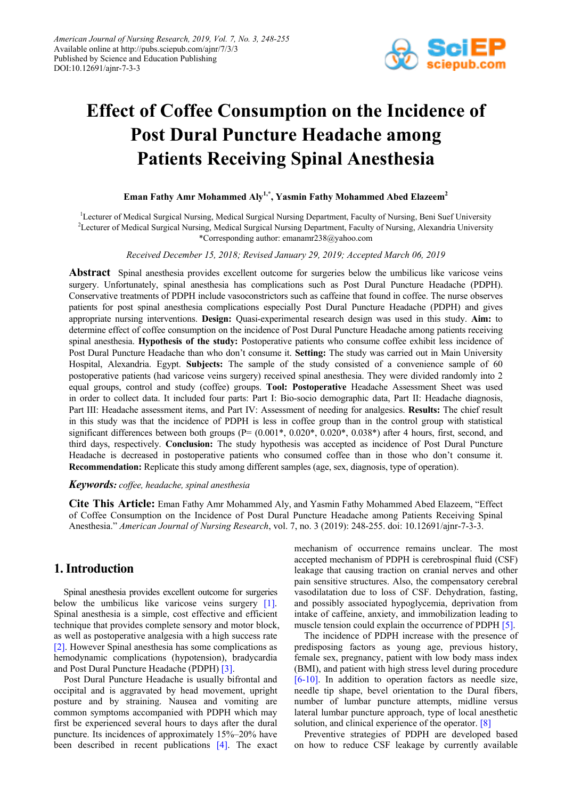

# **Effect of Coffee Consumption on the Incidence of Post Dural Puncture Headache among Patients Receiving Spinal Anesthesia**

# **Eman Fathy Amr Mohammed Aly1,\*, Yasmin Fathy Mohammed Abed Elazeem2**

<sup>1</sup>Lecturer of Medical Surgical Nursing, Medical Surgical Nursing Department, Faculty of Nursing, Beni Suef University <sup>2</sup>Lecturer of Medical Surgical Nursing, Medical Surgical Nursing Department, Faculty of Nursing, Alexandria University \*Corresponding author: emanamr238@yahoo.com

*Received December 15, 2018; Revised January 29, 2019; Accepted March 06, 2019*

**Abstract** Spinal anesthesia provides excellent outcome for surgeries below the umbilicus like varicose veins surgery. Unfortunately, spinal anesthesia has complications such as Post Dural Puncture Headache (PDPH). Conservative treatments of PDPH include vasoconstrictors such as caffeine that found in coffee. The nurse observes patients for post spinal anesthesia complications especially Post Dural Puncture Headache (PDPH) and gives appropriate nursing interventions. **Design:** Quasi-experimental research design was used in this study. **Aim:** to determine effect of coffee consumption on the incidence of Post Dural Puncture Headache among patients receiving spinal anesthesia. **Hypothesis of the study:** Postoperative patients who consume coffee exhibit less incidence of Post Dural Puncture Headache than who don't consume it. **Setting:** The study was carried out in Main University Hospital, Alexandria. Egypt. **Subjects:** The sample of the study consisted of a convenience sample of 60 postoperative patients (had varicose veins surgery) received spinal anesthesia. They were divided randomly into 2 equal groups, control and study (coffee) groups. **Tool: Postoperative** Headache Assessment Sheet was used in order to collect data. It included four parts: Part I: Bio-socio demographic data, Part II: Headache diagnosis, Part III: Headache assessment items, and Part IV: Assessment of needing for analgesics. **Results:** The chief result in this study was that the incidence of PDPH is less in coffee group than in the control group with statistical significant differences between both groups ( $P=(0.001^*, 0.020^*, 0.020^*, 0.038^*)$ ) after 4 hours, first, second, and third days, respectively. **Conclusion:** The study hypothesis was accepted as incidence of Post Dural Puncture Headache is decreased in postoperative patients who consumed coffee than in those who don't consume it. **Recommendation:** Replicate this study among different samples (age, sex, diagnosis, type of operation).

## *Keywords: coffee, headache, spinal anesthesia*

**Cite This Article:** Eman Fathy Amr Mohammed Aly, and Yasmin Fathy Mohammed Abed Elazeem, "Effect of Coffee Consumption on the Incidence of Post Dural Puncture Headache among Patients Receiving Spinal Anesthesia." *American Journal of Nursing Research*, vol. 7, no. 3 (2019): 248-255. doi: 10.12691/ajnr-7-3-3.

# **1. Introduction**

Spinal anesthesia provides excellent outcome for surgeries below the umbilicus like varicose veins surgery [\[1\].](#page-7-0) Spinal anesthesia is a simple, cost effective and efficient technique that provides complete sensory and motor block, as well as postoperative analgesia with a high success rate [\[2\].](#page-7-1) However Spinal anesthesia has some complications as hemodynamic complications (hypotension), bradycardia and Post Dural Puncture Headache (PDPH) [\[3\].](#page-7-2)

Post Dural Puncture Headache is usually bifrontal and occipital and is aggravated by head movement, upright posture and by straining. Nausea and vomiting are common symptoms accompanied with PDPH which may first be experienced several hours to days after the dural puncture. Its incidences of approximately 15%–20% have been described in recent publications [\[4\].](#page-7-3) The exact mechanism of occurrence remains unclear. The most accepted mechanism of PDPH is cerebrospinal fluid (CSF) leakage that causing traction on cranial nerves and other pain sensitive structures. Also, the compensatory cerebral vasodilatation due to loss of CSF. Dehydration, fasting, and possibly associated hypoglycemia, deprivation from intake of caffeine, anxiety, and immobilization leading to muscle tension could explain the occurrence of PDPH [\[5\].](#page-7-4)

The incidence of PDPH increase with the presence of predisposing factors as young age, previous history, female sex, pregnancy, patient with low body mass index (BMI), and patient with high stress level during procedure [\[6-10\].](#page-7-5) In addition to operation factors as needle size, needle tip shape, bevel orientation to the Dural fibers, number of lumbar puncture attempts, midline versus lateral lumbar puncture approach, type of local anesthetic solution, and clinical experience of the operator. [\[8\]](#page-7-6)

Preventive strategies of PDPH are developed based on how to reduce CSF leakage by currently available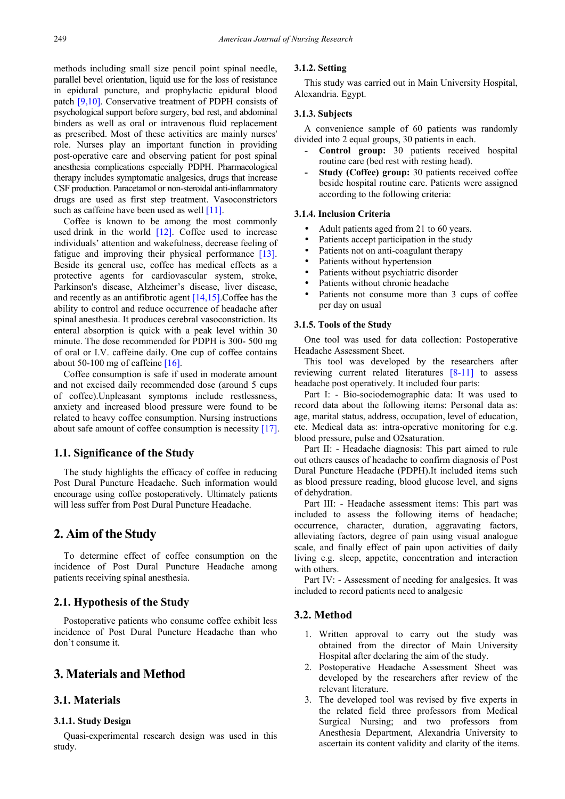methods including small size pencil point spinal needle, parallel bevel orientation, liquid use for the loss of resistance in epidural puncture, and prophylactic epidural blood patch [\[9,10\].](#page-7-7) Conservative treatment of PDPH consists of psychological support before surgery, bed rest, and abdominal binders as well as oral or intravenous fluid replacement as prescribed. Most of these activities are mainly nurses' role. Nurses play an important function in providing post-operative care and observing patient for post spinal anesthesia complications especially PDPH. Pharmacological therapy includes symptomatic analgesics, drugs that increase CSF production. Paracetamol or non-steroidal anti-inflammatory drugs are used as first step treatment. Vasoconstrictors such as caffeine have been used as well [\[11\].](#page-7-8)

Coffee is known to be among the most commonly used drink in the world [\[12\].](#page-7-9) Coffee used to increase individuals' attention and wakefulness, decrease feeling of fatigue and improving their physical performance [\[13\].](#page-7-10) Beside its general use, coffee has medical effects as a protective agents for cardiovascular system, stroke, Parkinson's disease, Alzheimer's disease, liver disease, and recently as an antifibrotic agent [\[14,15\].](#page-7-11)Coffee has the ability to control and reduce occurrence of headache after spinal anesthesia. It produces cerebral vasoconstriction. Its enteral absorption is quick with a peak level within 30 minute. The dose recommended for PDPH is 300- 500 mg of oral or I.V. caffeine daily. One cup of coffee contains about 50-100 mg of caffeine [\[16\].](#page-7-12)

Coffee consumption is safe if used in moderate amount and not excised daily recommended dose (around 5 cups of coffee).Unpleasant symptoms include restlessness, anxiety and increased blood pressure were found to be related to heavy coffee consumption. Nursing instructions about safe amount of coffee consumption is necessity [\[17\].](#page-7-13)

## **1.1. Significance of the Study**

The study highlights the efficacy of coffee in reducing Post Dural Puncture Headache. Such information would encourage using coffee postoperatively. Ultimately patients will less suffer from Post Dural Puncture Headache.

# **2. Aim of the Study**

To determine effect of coffee consumption on the incidence of Post Dural Puncture Headache among patients receiving spinal anesthesia.

## **2.1. Hypothesis of the Study**

Postoperative patients who consume coffee exhibit less incidence of Post Dural Puncture Headache than who don't consume it.

# **3. Materials and Method**

## **3.1. Materials**

#### **3.1.1. Study Design**

Quasi-experimental research design was used in this study.

#### **3.1.2. Setting**

This study was carried out in Main University Hospital, Alexandria. Egypt.

## **3.1.3. Subjects**

A convenience sample of 60 patients was randomly divided into 2 equal groups, 30 patients in each.

- **- Control group:** 30 patients received hospital routine care (bed rest with resting head).
- **- Study (Coffee) group:** 30 patients received coffee beside hospital routine care. Patients were assigned according to the following criteria:

## **3.1.4. Inclusion Criteria**

- Adult patients aged from 21 to 60 years.
- Patients accept participation in the study
- Patients not on anti-coagulant therapy
- Patients without hypertension
- Patients without psychiatric disorder
- Patients without chronic headache
- Patients not consume more than 3 cups of coffee per day on usual

#### **3.1.5. Tools of the Study**

One tool was used for data collection: Postoperative Headache Assessment Sheet.

This tool was developed by the researchers after reviewing current related literatures [\[8-11\]](#page-7-6) to assess headache post operatively. It included four parts:

Part I: - Bio-sociodemographic data: It was used to record data about the following items: Personal data as: age, marital status, address, occupation, level of education, etc. Medical data as: intra-operative monitoring for e.g. blood pressure, pulse and O2saturation.

Part II: - Headache diagnosis: This part aimed to rule out others causes of headache to confirm diagnosis of Post Dural Puncture Headache (PDPH).It included items such as blood pressure reading, blood glucose level, and signs of dehydration.

Part III: - Headache assessment items: This part was included to assess the following items of headache; occurrence, character, duration, aggravating factors, alleviating factors, degree of pain using visual analogue scale, and finally effect of pain upon activities of daily living e.g. sleep, appetite, concentration and interaction with others.

Part IV: - Assessment of needing for analgesics. It was included to record patients need to analgesic

#### **3.2. Method**

- 1. Written approval to carry out the study was obtained from the director of Main University Hospital after declaring the aim of the study.
- 2. Postoperative Headache Assessment Sheet was developed by the researchers after review of the relevant literature.
- 3. The developed tool was revised by five experts in the related field three professors from Medical Surgical Nursing; and two professors from Anesthesia Department, Alexandria University to ascertain its content validity and clarity of the items.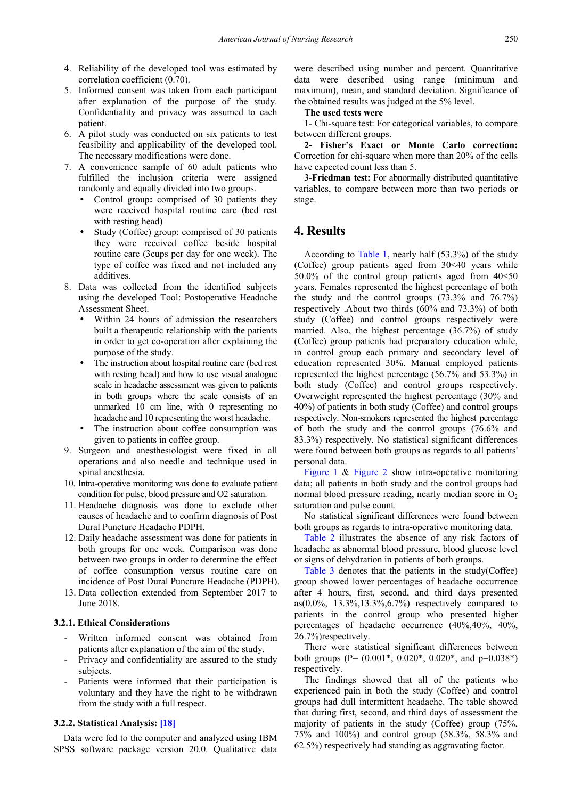- 4. Reliability of the developed tool was estimated by correlation coefficient (0.70).
- 5. Informed consent was taken from each participant after explanation of the purpose of the study. Confidentiality and privacy was assumed to each patient.
- 6. A pilot study was conducted on six patients to test feasibility and applicability of the developed tool. The necessary modifications were done.
- 7. A convenience sample of 60 adult patients who fulfilled the inclusion criteria were assigned randomly and equally divided into two groups.
	- Control group**:** comprised of 30 patients they were received hospital routine care (bed rest with resting head)
	- Study (Coffee) group: comprised of 30 patients they were received coffee beside hospital routine care (3cups per day for one week). The type of coffee was fixed and not included any additives.
- 8. Data was collected from the identified subjects using the developed Tool: Postoperative Headache Assessment Sheet.
	- Within 24 hours of admission the researchers built a therapeutic relationship with the patients in order to get co-operation after explaining the purpose of the study.
	- The instruction about hospital routine care (bed rest with resting head) and how to use visual analogue scale in headache assessment was given to patients in both groups where the scale consists of an unmarked 10 cm line, with 0 representing no headache and 10 representing the worst headache.
	- The instruction about coffee consumption was given to patients in coffee group.
- 9. Surgeon and anesthesiologist were fixed in all operations and also needle and technique used in spinal anesthesia.
- 10. Intra-operative monitoring was done to evaluate patient condition for pulse, blood pressure and O2 saturation.
- 11. Headache diagnosis was done to exclude other causes of headache and to confirm diagnosis of Post Dural Puncture Headache PDPH.
- 12. Daily headache assessment was done for patients in both groups for one week. Comparison was done between two groups in order to determine the effect of coffee consumption versus routine care on incidence of Post Dural Puncture Headache (PDPH).
- 13. Data collection extended from September 2017 to June 2018.

## **3.2.1. Ethical Considerations**

- Written informed consent was obtained from patients after explanation of the aim of the study.
- Privacy and confidentiality are assured to the study subjects.
- Patients were informed that their participation is voluntary and they have the right to be withdrawn from the study with a full respect.

#### **3.2.2. Statistical Analysis: [\[18\]](#page-7-14)**

Data were fed to the computer and analyzed using IBM SPSS software package version 20.0. Qualitative data were described using number and percent. Quantitative data were described using range (minimum and maximum), mean, and standard deviation. Significance of the obtained results was judged at the 5% level.

**The used tests were** 

1- Chi-square test: For categorical variables, to compare between different groups.

**2- Fisher's Exact or Monte Carlo correction:**  Correction for chi-square when more than 20% of the cells have expected count less than 5.

**3-Friedman test:** For abnormally distributed quantitative variables, to compare between more than two periods or stage.

# **4. Results**

According to [Table 1,](#page-3-0) nearly half (53.3%) of the study (Coffee) group patients aged from 30˂40 years while 50.0% of the control group patients aged from 40˂50 years. Females represented the highest percentage of both the study and the control groups (73.3% and 76.7%) respectively .About two thirds (60% and 73.3%) of both study (Coffee) and control groups respectively were married. Also, the highest percentage (36.7%) of study (Coffee) group patients had preparatory education while, in control group each primary and secondary level of education represented 30%. Manual employed patients represented the highest percentage (56.7% and 53.3%) in both study (Coffee) and control groups respectively. Overweight represented the highest percentage (30% and 40%) of patients in both study (Coffee) and control groups respectively. Non-smokers represented the highest percentage of both the study and the control groups (76.6% and 83.3%) respectively. No statistical significant differences were found between both groups as regards to all patients' personal data.

[Figure 1](#page-3-1) & [Figure 2](#page-3-2) show intra-operative monitoring data; all patients in both study and the control groups had normal blood pressure reading, nearly median score in  $O_2$ saturation and pulse count.

No statistical significant differences were found between both groups as regards to intra**-**operative monitoring data.

[Table 2](#page-4-0) illustrates the absence of any risk factors of headache as abnormal blood pressure, blood glucose level or signs of dehydration in patients of both groups.

[Table 3](#page-4-1) denotes that the patients in the study(Coffee) group showed lower percentages of headache occurrence after 4 hours, first, second, and third days presented as( $0.0\%$ , 13.3%,13.3%,6.7%) respectively compared to patients in the control group who presented higher percentages of headache occurrence (40%,40%, 40%, 26.7%)respectively.

There were statistical significant differences between both groups (P= (0.001\*, 0.020\*, 0.020\*, and p=0.038\*) respectively.

The findings showed that all of the patients who experienced pain in both the study (Coffee) and control groups had dull intermittent headache. The table showed that during first, second, and third days of assessment the majority of patients in the study (Coffee) group (75%, 75% and 100%) and control group (58.3%, 58.3% and 62.5%) respectively had standing as aggravating factor.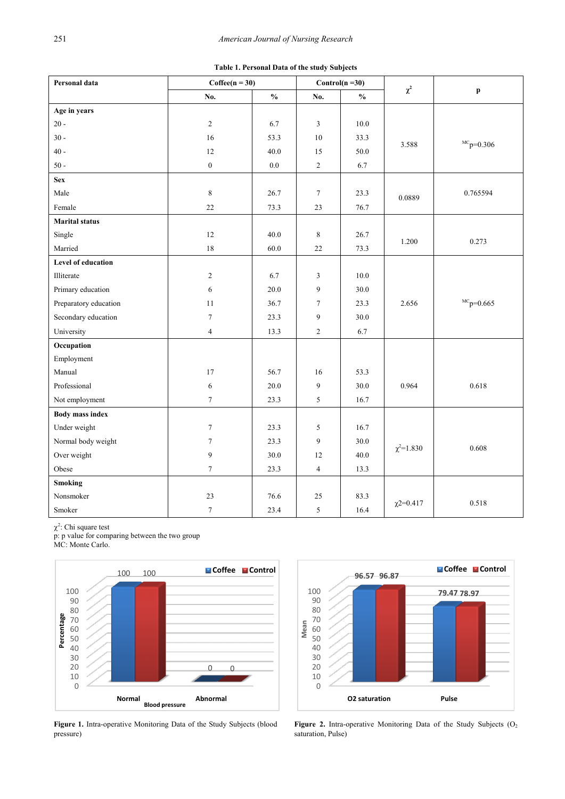| Table 1. Personal Data of the study Subjects |  |  |  |  |
|----------------------------------------------|--|--|--|--|
|----------------------------------------------|--|--|--|--|

<span id="page-3-0"></span>

| Personal data          | $Coffee(n = 30)$ |                                    |                  | Control( $n = 30$ )                |                  |                  |  |  |  |
|------------------------|------------------|------------------------------------|------------------|------------------------------------|------------------|------------------|--|--|--|
|                        | No.              | $\mathbf{0}_{\mathbf{0}}^{\prime}$ | No.              | $\mathbf{0}_{\mathbf{0}}^{\prime}$ | $\chi^2$         | p                |  |  |  |
| Age in years           |                  |                                    |                  |                                    |                  |                  |  |  |  |
| $20 -$                 | $\sqrt{2}$       | 6.7                                | 3                | 10.0                               |                  |                  |  |  |  |
| $30 -$                 | 16               | 53.3                               | 10               | 33.3                               | 3.588            | ${}^{MC}p=0.306$ |  |  |  |
| $40 -$                 | 12               | 40.0                               | 15               | 50.0                               |                  |                  |  |  |  |
| $50 -$                 | $\boldsymbol{0}$ | $0.0\,$                            | $\overline{c}$   | 6.7                                |                  |                  |  |  |  |
| <b>Sex</b>             |                  |                                    |                  |                                    |                  |                  |  |  |  |
| Male                   | 8                | 26.7                               | $\boldsymbol{7}$ | 23.3                               | 0.0889           | 0.765594         |  |  |  |
| Female                 | 22               | 73.3                               | 23               | 76.7                               |                  |                  |  |  |  |
| <b>Marital status</b>  |                  |                                    |                  |                                    |                  |                  |  |  |  |
| Single                 | 12               | 40.0                               | 8                | 26.7                               | 1.200            | 0.273            |  |  |  |
| Married                | 18               | 60.0                               | 22               | 73.3                               |                  |                  |  |  |  |
| Level of education     |                  |                                    |                  |                                    |                  |                  |  |  |  |
| Illiterate             | $\boldsymbol{2}$ | 6.7                                | $\mathfrak{Z}$   | $10.0\,$                           |                  |                  |  |  |  |
| Primary education      | 6                | 20.0                               | 9                | 30.0                               |                  |                  |  |  |  |
| Preparatory education  | 11               | 36.7                               | $\tau$           | 23.3                               | 2.656            | ${}^{MC}p=0.665$ |  |  |  |
| Secondary education    | $\tau$           | 23.3                               | 9                | 30.0                               |                  |                  |  |  |  |
| University             | $\overline{4}$   | 13.3                               | $\overline{c}$   | 6.7                                |                  |                  |  |  |  |
| Occupation             |                  |                                    |                  |                                    |                  |                  |  |  |  |
| Employment             |                  |                                    |                  |                                    |                  |                  |  |  |  |
| Manual                 | $17\,$           | 56.7                               | 16               | 53.3                               |                  |                  |  |  |  |
| Professional           | 6                | 20.0                               | $\overline{9}$   | 30.0                               | 0.964            | 0.618            |  |  |  |
| Not employment         | $\tau$           | 23.3                               | 5                | 16.7                               |                  |                  |  |  |  |
| <b>Body mass index</b> |                  |                                    |                  |                                    |                  |                  |  |  |  |
| Under weight           | $\tau$           | 23.3                               | 5                | 16.7                               |                  |                  |  |  |  |
| Normal body weight     | $\tau$           | 23.3                               | $\boldsymbol{9}$ | 30.0                               | $\chi^2 = 1.830$ | 0.608            |  |  |  |
| Over weight            | 9                | 30.0                               | 12               | 40.0                               |                  |                  |  |  |  |
| Obese                  | $\tau$           | 23.3                               | $\overline{4}$   | 13.3                               |                  |                  |  |  |  |
| <b>Smoking</b>         |                  |                                    |                  |                                    |                  |                  |  |  |  |
| Nonsmoker              | 23               | 76.6                               | 25               | 83.3                               | $\chi$ 2=0.417   | 0.518            |  |  |  |
| Smoker                 | $\boldsymbol{7}$ | 23.4                               | $\sqrt{5}$       | 16.4                               |                  |                  |  |  |  |

 $\chi^2$ : Chi square test

p: p value for comparing between the two group

MC: Monte Carlo.

<span id="page-3-1"></span>

**Figure 1.** Intra-operative Monitoring Data of the Study Subjects (blood pressure)

<span id="page-3-2"></span>

Figure 2. Intra-operative Monitoring Data of the Study Subjects (O<sub>2</sub>) saturation, Pulse)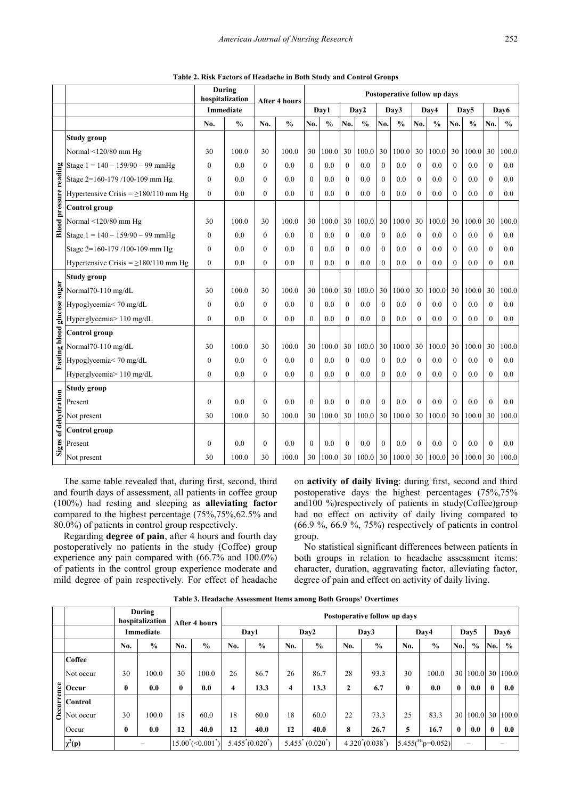<span id="page-4-0"></span>

|                               |                                            | hospitalization  | During               |                  | <b>After 4 hours</b> | Postoperative follow up days |               |                  |               |                  |               |                  |               |              |               |                  |               |
|-------------------------------|--------------------------------------------|------------------|----------------------|------------------|----------------------|------------------------------|---------------|------------------|---------------|------------------|---------------|------------------|---------------|--------------|---------------|------------------|---------------|
|                               |                                            |                  | <b>Immediate</b>     |                  |                      | Day1                         |               |                  | Day2          | Day3             |               | Day4             |               | Day5         |               | Day6             |               |
|                               |                                            | No.              | $\frac{0}{0}$<br>No. |                  | $\frac{0}{0}$        | No.                          | $\frac{0}{0}$ | No.              | $\frac{0}{0}$ | No.              | $\frac{0}{0}$ | No.              | $\frac{0}{0}$ | No.          | $\frac{0}{0}$ | No.              | $\frac{0}{0}$ |
|                               | <b>Study group</b>                         |                  |                      |                  |                      |                              |               |                  |               |                  |               |                  |               |              |               |                  |               |
|                               | Normal <120/80 mm Hg                       | 30               | 100.0                | 30               | 100.0                | 30                           | 100.0         | 30               | 100.0         | 30               | 100.0         | 30               | 100.0         | 30           | 100.0         | 30               | 100.0         |
|                               | Stage $1 = 140 - 159/90 - 99$ mmHg         | $\mathbf{0}$     | 0.0                  | $\mathbf{0}$     | 0.0                  | $\Omega$                     | 0.0           | $\mathbf{0}$     | 0.0           | $\mathbf{0}$     | 0.0           | $\boldsymbol{0}$ | 0.0           | $\theta$     | 0.0           | $\boldsymbol{0}$ | 0.0           |
|                               | Stage 2=160-179 /100-109 mm Hg             | $\theta$         | 0.0                  | $\theta$         | 0.0                  | $\Omega$                     | 0.0           | $\theta$         | 0.0           | $\Omega$         | 0.0           | $\theta$         | 0.0           | $\theta$     | 0.0           | $\mathbf{0}$     | 0.0           |
|                               | Hypertensive Crisis = $\geq$ 180/110 mm Hg | $\overline{0}$   | 0.0                  | $\boldsymbol{0}$ | 0.0                  | $\theta$                     | 0.0           | $\boldsymbol{0}$ | 0.0           | $\mathbf{0}$     | 0.0           | $\boldsymbol{0}$ | 0.0           | $\mathbf{0}$ | 0.0           | $\boldsymbol{0}$ | 0.0           |
| <b>Blood pressure reading</b> | Control group                              |                  |                      |                  |                      |                              |               |                  |               |                  |               |                  |               |              |               |                  |               |
|                               | Normal <120/80 mm Hg                       | 30               | 100.0                | 30               | 100.0                | 30                           | 100.0         | 30               | 100.0         | 30               | 100.0         | 30               | 100.0         | 30           | 100.0         | 30               | 100.0         |
|                               | Stage $1 = 140 - 159/90 - 99$ mmHg         | $\boldsymbol{0}$ | 0.0                  | $\Omega$         | 0.0                  | $\Omega$                     | 0.0           | $\mathbf{0}$     | 0.0           | $\mathbf{0}$     | 0.0           | $\mathbf{0}$     | 0.0           | $\mathbf{0}$ | 0.0           | $\mathbf{0}$     | 0.0           |
|                               | Stage 2=160-179/100-109 mm Hg              | $\mathbf{0}$     | 0.0                  | $\mathbf{0}$     | 0.0                  | $\mathbf{0}$                 | 0.0           | $\mathbf{0}$     | 0.0           | $\mathbf{0}$     | 0.0           | $\mathbf{0}$     | 0.0           | $\mathbf{0}$ | 0.0           | $\mathbf{0}$     | 0.0           |
|                               | Hypertensive Crisis = $\geq$ 180/110 mm Hg | $\boldsymbol{0}$ | 0.0                  | $\mathbf{0}$     | 0.0                  | $\Omega$                     | 0.0           | $\mathbf{0}$     | 0.0           | $\boldsymbol{0}$ | 0.0           | $\overline{0}$   | 0.0           | $\mathbf{0}$ | 0.0           | $\mathbf{0}$     | 0.0           |
|                               | <b>Study group</b>                         |                  |                      |                  |                      |                              |               |                  |               |                  |               |                  |               |              |               |                  |               |
| glucose sugar                 | Normal70-110 mg/dL                         | 30               | 100.0                | 30               | 100.0                | 30                           | 100.0         | 30               | 100.0         | 30               | 100.0         | 30               | 100.0         | 30           | 100.0         | 30               | 100.0         |
|                               | Hypoglycemia< 70 mg/dL                     | $\theta$         | 0.0                  | $\Omega$         | 0.0                  | $\Omega$                     | 0.0           | $\theta$         | 0.0           | $\theta$         | 0.0           | $\Omega$         | 0.0           | $\theta$     | 0.0           | $\theta$         | 0.0           |
|                               | Hyperglycemia> 110 mg/dL                   | $\mathbf{0}$     | 0.0                  | $\mathbf{0}$     | 0.0                  | $\mathbf{0}$                 | 0.0           | $\boldsymbol{0}$ | 0.0           | $\mathbf{0}$     | 0.0           | $\theta$         | 0.0           | $\mathbf{0}$ | 0.0           | $\mathbf{0}$     | 0.0           |
| <b>Fasting blood</b>          | Control group                              |                  |                      |                  |                      |                              |               |                  |               |                  |               |                  |               |              |               |                  |               |
|                               | Normal70-110 mg/dL                         | 30               | 100.0                | 30               | 100.0                | 30                           | 100.0         | 30               | 100.0         | 30               | 100.0         | 30               | 100.0         | 30           | 100.0         | 30               | 100.0         |
|                               | Hypoglycemia< 70 mg/dL                     | $\mathbf{0}$     | 0.0                  | $\theta$         | 0.0                  | $\Omega$                     | 0.0           | $\mathbf{0}$     | 0.0           | $\theta$         | 0.0           | $\mathbf{0}$     | 0.0           | $\mathbf{0}$ | 0.0           | $\mathbf{0}$     | 0.0           |
|                               | Hyperglycemia> 110 mg/dL                   | $\mathbf{0}$     | 0.0                  | $\mathbf{0}$     | 0.0                  | $\theta$                     | 0.0           | $\mathbf{0}$     | 0.0           | $\overline{0}$   | 0.0           | $\mathbf{0}$     | 0.0           | $\mathbf{0}$ | 0.0           | $\overline{0}$   | 0.0           |
|                               | <b>Study group</b>                         |                  |                      |                  |                      |                              |               |                  |               |                  |               |                  |               |              |               |                  |               |
|                               | Present                                    | $\mathbf{0}$     | 0.0                  | $\mathbf{0}$     | 0.0                  | $\mathbf{0}$                 | 0.0           | $\mathbf{0}$     | 0.0           | $\mathbf{0}$     | 0.0           | $\mathbf{0}$     | 0.0           | $\mathbf{0}$ | 0.0           | $\overline{0}$   | 0.0           |
| of dehydration                | Not present                                | 30               | 100.0                | 30               | 100.0                | 30                           | 100.0         | 30               | 100.0         | 30               | 100.0         | 30               | 100.0         | 30           | 100.0         | 30               | 100.0         |
|                               | Control group                              |                  |                      |                  |                      |                              |               |                  |               |                  |               |                  |               |              |               |                  |               |
| <b>Signs</b>                  | Present                                    | $\boldsymbol{0}$ | 0.0                  | $\mathbf{0}$     | 0.0                  | $\mathbf{0}$                 | 0.0           | $\mathbf{0}$     | 0.0           | $\Omega$         | 0.0           | $\overline{0}$   | 0.0           | $\theta$     | 0.0           | $\mathbf{0}$     | 0.0           |
|                               | Not present                                | 30               | 100.0                | 30               | 100.0                | 30                           | 100.0         | 30 <sup>°</sup>  | 100.0         | 30               | 100.0         | 30               | 100.0         | 30           | 100.0         | 30               | 100.0         |

**Table 2. Risk Factors of Headache in Both Study and Control Groups** 

The same table revealed that, during first, second, third and fourth days of assessment, all patients in coffee group (100%) had resting and sleeping as **alleviating factor** compared to the highest percentage (75%,75%,62.5% and 80.0%) of patients in control group respectively.

Regarding **degree of pain**, after 4 hours and fourth day postoperatively no patients in the study (Coffee) group experience any pain compared with (66.7% and 100.0%) of patients in the control group experience moderate and mild degree of pain respectively. For effect of headache on **activity of daily living**: during first, second and third postoperative days the highest percentages (75%,75% and100 %)respectively of patients in study(Coffee)group had no effect on activity of daily living compared to  $(66.9\%$ ,  $66.9\%$ ,  $75\%)$  respectively of patients in control group.

No statistical significant differences between patients in both groups in relation to headache assessment items: character, duration, aggravating factor, alleviating factor, degree of pain and effect on activity of daily living.

<span id="page-4-1"></span>

|                            |                  | During<br>hospitalization | <b>After 4 hours</b>                   |               | Postoperative follow up days |               |                     |               |                    |               |                      |               |                  |               |          |               |  |
|----------------------------|------------------|---------------------------|----------------------------------------|---------------|------------------------------|---------------|---------------------|---------------|--------------------|---------------|----------------------|---------------|------------------|---------------|----------|---------------|--|
|                            | <b>Immediate</b> |                           |                                        |               | Day1                         |               | Day2                |               | Day3               |               | Day4                 |               | Day <sub>5</sub> |               |          | Day6          |  |
|                            | No.              | $\frac{6}{9}$             | No.                                    | $\frac{0}{0}$ | No.                          | $\frac{0}{0}$ | No.                 | $\frac{6}{9}$ | No.                | $\frac{0}{0}$ | No.                  | $\frac{0}{0}$ | No.              | $\frac{0}{0}$ | No.      | $\frac{0}{0}$ |  |
| <b>Coffee</b>              |                  |                           |                                        |               |                              |               |                     |               |                    |               |                      |               |                  |               |          |               |  |
| Not occur                  | 30               | 100.0                     | 30                                     | 100.0         | 26                           | 86.7          | 26                  | 86.7          | 28                 | 93.3          | 30                   | 100.0         | 30               | 100.0         |          | 30 100.0      |  |
| $\frac{8}{5}$ Occur        | $\bf{0}$         | 0.0                       | $\bf{0}$                               | 0.0           | 4                            | 13.3          | 4                   | 13.3          | $\mathbf{2}$       | 6.7           | $\mathbf{0}$         | 0.0           | $\mathbf{0}$     | 0.0           | $\bf{0}$ | 0.0           |  |
|                            |                  |                           |                                        |               |                              |               |                     |               |                    |               |                      |               |                  |               |          |               |  |
| $\frac{1}{\infty}$ Control | 30               | 100.0                     | 18                                     | 60.0          | 18                           | 60.0          | 18                  | 60.0          | 22                 | 73.3          | 25                   | 83.3          | 30               | 100.0         |          | 30 100.0      |  |
| Occur                      | $\bf{0}$         | 0.0                       | 12                                     | 40.0          | 12                           | 40.0          | 12                  | 40.0          | 8                  | 26.7          | 5                    | 16.7          | $\mathbf{0}$     | 0.0           | $\bf{0}$ | 0.0           |  |
| $\chi^2(p)$                |                  |                           | $15.00^{\circ}$ (<0.001 <sup>*</sup> ) |               | $5.455^*(0.020^*)$           |               | $5.455^* (0.020^*)$ |               | $4.320^*(0.038^*)$ |               | 5.455( $PE$ p=0.052) |               | -                |               |          |               |  |

**Table 3. Headache Assessment Items among Both Groups' Overtimes**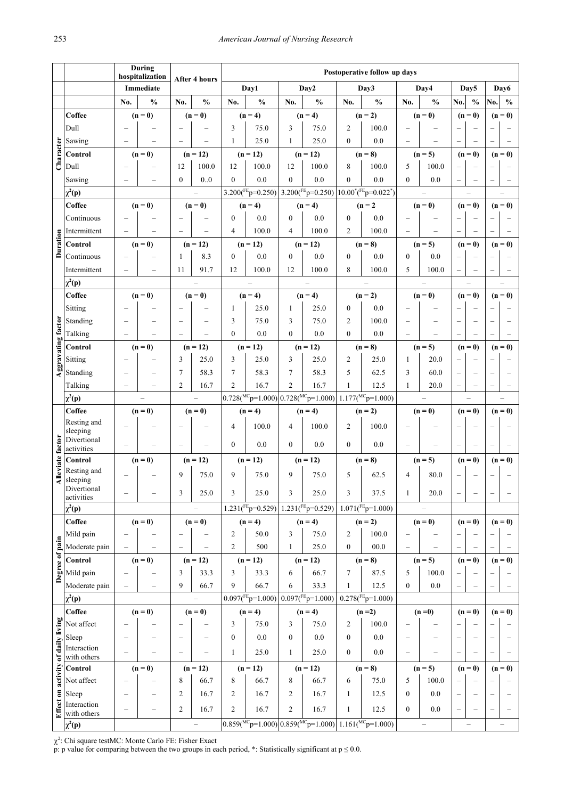|                    |                             |           | During<br>hospitalization |                          |                          | Postoperative follow up days |                                  |                    |                       |                                                                |                                                                                            |                  |                          |                          |                  |                          |               |
|--------------------|-----------------------------|-----------|---------------------------|--------------------------|--------------------------|------------------------------|----------------------------------|--------------------|-----------------------|----------------------------------------------------------------|--------------------------------------------------------------------------------------------|------------------|--------------------------|--------------------------|------------------|--------------------------|---------------|
|                    |                             | Immediate |                           |                          | <b>After 4 hours</b>     |                              | Day1                             |                    | Day2                  |                                                                | Day3                                                                                       |                  | Day4                     |                          | Day <sub>5</sub> |                          | Day6          |
|                    |                             | No.       | $\frac{0}{0}$             | No.                      | $\frac{0}{0}$            | $\frac{0}{0}$<br>No.         |                                  | No.                | $\frac{0}{0}$         | No.                                                            | $\frac{0}{0}$                                                                              | No.              | $\frac{0}{0}$            | No.                      | $\frac{0}{0}$    | No.                      | $\frac{0}{0}$ |
|                    | Coffee                      |           | $(n=0)$                   |                          | $(n=0)$                  |                              | $(n = 4)$                        |                    | $(n = 4)$             |                                                                | $(n = 2)$                                                                                  |                  | $(n=0)$                  |                          | $(n=0)$          |                          | $(n=0)$       |
|                    | Dull                        |           |                           |                          |                          | 3                            | 75.0                             | 3                  | 75.0                  | $\overline{2}$                                                 | 100.0                                                                                      |                  |                          |                          |                  |                          |               |
|                    | Sawing                      |           |                           |                          |                          | 1                            | 25.0                             | 1                  | 25.0                  | $\Omega$                                                       | 0.0                                                                                        |                  |                          |                          |                  |                          |               |
| Character          | Control                     |           | $(n=0)$                   |                          | $(n = 12)$               |                              | $(n = 12)$                       |                    | $(n = 12)$            |                                                                | $(n = 8)$                                                                                  |                  | $(n = 5)$                |                          | $(n=0)$          |                          | $(n=0)$       |
|                    | Dull                        |           |                           | 12                       | 100.0                    | 12                           | 100.0                            | 12                 | 100.0                 | 8                                                              | 100.0                                                                                      | 5                | 100.0                    |                          |                  |                          |               |
|                    | Sawing                      |           |                           | $\mathbf{0}$             | 0.0                      | $\theta$                     | 0.0                              | $\mathbf{0}$       | 0.0                   | $\mathbf{0}$                                                   | 0.0                                                                                        | $\theta$         | 0.0                      |                          |                  |                          |               |
|                    | $\chi^2(p)$                 |           |                           |                          |                          |                              |                                  |                    |                       |                                                                | $3.200({}^{FE}p=0.250)$ 3.200( ${}^{FE}p=0.250$ ) 10.00 <sup>*</sup> ( ${}^{FE}p=0.022$ *) |                  |                          |                          |                  |                          |               |
|                    | Coffee                      |           | $(n=0)$                   |                          | $(n=0)$                  |                              | $(n = 4)$                        |                    | $(n = 4)$             |                                                                | $(n=2)$                                                                                    |                  | $(n=0)$                  |                          | $(n=0)$          |                          | $(n=0)$       |
|                    | Continuous                  |           |                           |                          |                          | $\theta$                     | 0.0                              | $\mathbf{0}$       | 0.0                   | $\Omega$                                                       | 0.0                                                                                        |                  |                          |                          |                  |                          |               |
| Duration           | Intermittent                |           |                           |                          |                          | $\overline{4}$               | 100.0                            | $\overline{4}$     | 100.0                 | $\overline{2}$                                                 | 100.0                                                                                      |                  |                          |                          |                  |                          |               |
|                    | Control                     |           | $(n=0)$                   |                          | $(n = 12)$               |                              | $(n = 12)$                       |                    | $(n = 12)$            |                                                                | $(n = 8)$                                                                                  |                  | $(n = 5)$                |                          | $(n=0)$          |                          | $(n=0)$       |
|                    | Continuous                  |           |                           | 1<br>11                  | 8.3<br>91.7              | $\theta$                     | 0.0<br>100.0                     | $\mathbf{0}$<br>12 | 0.0<br>100.0          | $\Omega$<br>8                                                  | 0.0<br>100.0                                                                               | 0                | 0.0                      |                          |                  |                          |               |
|                    | Intermittent<br>$\chi^2(p)$ |           |                           |                          |                          | 12                           |                                  |                    |                       |                                                                |                                                                                            | 5                | 100.0                    |                          |                  |                          |               |
|                    | Coffee                      |           | $(n=0)$                   |                          | $(n=0)$                  |                              | $(n = 4)$                        |                    | $(n = 4)$             |                                                                | $(n = 2)$                                                                                  |                  | $(n=0)$                  |                          | $(n=0)$          |                          | $(n=0)$       |
|                    | Sitting                     |           |                           |                          |                          | 1                            | 25.0                             | 1                  | 25.0                  | $\mathbf{0}$                                                   | 0.0                                                                                        |                  |                          |                          |                  |                          |               |
|                    | Standing                    |           |                           |                          |                          | 3                            | 75.0                             | 3                  | 75.0                  | 2                                                              | 100.0                                                                                      |                  |                          |                          |                  |                          |               |
|                    | Talking                     |           |                           |                          |                          | $\theta$                     | 0.0                              | $\theta$           | 0.0                   | $\theta$                                                       | 0.0                                                                                        |                  |                          |                          |                  |                          |               |
| Aggravating factor | Control                     |           | $(n=0)$                   |                          | $(n = 12)$               |                              | $(n = 12)$                       |                    | $(n = 12)$            |                                                                | $(n = 8)$                                                                                  |                  | $(n = 5)$                |                          | $(n=0)$          |                          | $(n=0)$       |
|                    | Sitting                     |           |                           | 3                        | 25.0                     | 3                            | 25.0                             | 3                  | 25.0                  | 2                                                              | 25.0                                                                                       | 1                | 20.0                     |                          |                  |                          |               |
|                    | Standing                    |           |                           | 7                        | 58.3                     | 7                            | 58.3                             | 7                  | 58.3                  | 5                                                              | 62.5                                                                                       | 3                | 60.0                     |                          |                  |                          |               |
|                    | Talking                     |           |                           | $\overline{2}$           | 16.7                     | $\overline{2}$               | 16.7                             | $\overline{c}$     | 16.7                  | 1                                                              | 12.5                                                                                       | 1                | 20.0                     |                          |                  |                          |               |
|                    | $\chi^2(p)$                 |           |                           |                          |                          |                              |                                  |                    |                       | $0.728(^{MC}p=1.000)[0.728(^{MC}p=1.000)[1.177(^{MC}p=1.000)]$ |                                                                                            |                  |                          |                          |                  |                          |               |
|                    | Coffee                      |           | $(n=0)$                   |                          | $(n=0)$                  |                              | $(n = 4)$                        |                    | $(n = 4)$             |                                                                | $(n = 2)$                                                                                  |                  | $(n=0)$                  |                          | $(n=0)$          |                          | $(n=0)$       |
|                    | Resting and<br>sleeping     |           |                           |                          |                          | 4                            | 100.0                            | $\overline{4}$     | 100.0                 | 2                                                              | 100.0                                                                                      |                  |                          |                          |                  |                          |               |
|                    | Divertional                 |           |                           |                          |                          | $\Omega$                     | 0.0                              | $\theta$           | 0.0                   | $\Omega$                                                       | 0.0                                                                                        |                  |                          |                          |                  |                          |               |
| factor             | activities                  |           |                           |                          |                          |                              |                                  |                    |                       |                                                                |                                                                                            | $(n = 5)$        |                          | $(n=0)$                  |                  | $(n=0)$                  |               |
| <b>Alleviate</b>   | Control<br>Resting and      |           | $(n=0)$                   |                          | $(n = 12)$               |                              | $(n = 12)$                       |                    | $(n = 12)$            |                                                                | $(n = 8)$                                                                                  |                  |                          |                          |                  |                          |               |
|                    | sleeping                    |           |                           | 9                        | 75.0                     | 9                            | 75.0                             | 9                  | 75.0                  | 5                                                              | 62.5                                                                                       | $\overline{4}$   | 80.0                     |                          |                  |                          |               |
|                    | Divertional<br>activities   |           |                           | 3                        | 25.0                     | 3                            | 25.0                             | $\mathfrak z$      | 25.0                  | 3                                                              | 37.5                                                                                       | $\mathbf{1}$     | 20.0                     |                          |                  |                          |               |
|                    | $\chi^2(p)$                 |           |                           |                          | $\overline{\phantom{0}}$ |                              | $\overline{1.231(^{FE}p=0.529)}$ |                    | $1.231(^{FE}p=0.529)$ |                                                                | $1.071(^{FE}p=1.000)$                                                                      |                  | $\overline{\phantom{0}}$ |                          |                  |                          |               |
|                    | <b>Coffee</b>               |           | $(n=0)$                   |                          | $(n=0)$                  |                              | $(n = 4)$                        |                    | $(n = 4)$             | $(n = 2)$                                                      |                                                                                            |                  | $(n=0)$                  |                          | $(n=0)$          |                          | $(n=0)$       |
|                    | Mild pain                   |           |                           |                          |                          | $\overline{c}$               | 50.0                             | $\mathfrak{Z}$     | 75.0                  | 2                                                              | 100.0                                                                                      |                  |                          |                          |                  |                          |               |
|                    | Moderate pain               |           |                           | $\qquad \qquad -$        |                          | $\overline{c}$               | 500                              | $\mathbf{1}$       | 25.0                  | $00.0\,$<br>$\mathbf{0}$                                       |                                                                                            |                  | $\overline{\phantom{0}}$ | $\overline{\phantom{0}}$ |                  |                          |               |
| Degree of pain     | Control                     |           | $(n=0)$                   |                          | $(n = 12)$               |                              | $(n = 12)$                       |                    | $(n = 12)$            |                                                                | $(n = 8)$                                                                                  |                  | $(n = 5)$                |                          | $(n=0)$          |                          | $(n=0)$       |
|                    | Mild pain                   |           | -                         | 3                        | 33.3                     | 3                            | 33.3                             | 6                  | 66.7                  | 7                                                              | 87.5                                                                                       | 5                | 100.0                    |                          |                  |                          |               |
|                    | Moderate pain               |           |                           | 9                        | 66.7                     | 9                            | 66.7                             | 6                  | 33.3                  | 1                                                              | 12.5                                                                                       | $\mathbf{0}$     | 0.0                      |                          |                  |                          |               |
|                    | $\chi^2(p)$                 |           |                           |                          | $\overline{\phantom{0}}$ |                              | $0.097(^{FE}p=1.000)$            |                    | $0.097(^{FE}p=1.000)$ |                                                                | $0.278(^{FE}p=1.000)$                                                                      |                  |                          |                          |                  |                          |               |
|                    | <b>Coffee</b>               |           | $(n=0)$                   |                          | $(n=0)$                  |                              | $(n = 4)$                        |                    | $(n = 4)$             |                                                                | $(n=2)$                                                                                    |                  | $(n=0)$                  |                          | $(n=0)$          |                          | $(n=0)$       |
|                    | Not affect                  |           |                           |                          |                          | 3                            | 75.0                             | $\mathfrak{Z}$     | 75.0                  | $\overline{2}$                                                 | 100.0                                                                                      |                  |                          |                          |                  |                          |               |
| of daily living    | Sleep<br>Interaction        |           |                           | $\overline{\phantom{0}}$ |                          | $\boldsymbol{0}$             | 0.0                              | $\boldsymbol{0}$   | 0.0                   | $\mathbf{0}$                                                   | 0.0                                                                                        |                  |                          | $\overline{\phantom{0}}$ |                  |                          |               |
|                    | with others                 |           |                           |                          |                          | 1                            | 25.0                             | $\mathbf{1}$       | 25.0                  | $\mathbf{0}$                                                   | 0.0                                                                                        |                  |                          |                          |                  |                          |               |
|                    | Control                     |           | $(n=0)$                   | $(n = 12)$               |                          | $(n = 12)$                   |                                  | $(n = 12)$         |                       | $(n=8)$                                                        |                                                                                            | $(n = 5)$        |                          | $(n=0)$                  |                  | $(n=0)$                  |               |
|                    | Not affect                  |           |                           | 8                        | 66.7                     | 8                            | 66.7                             | 8                  | 66.7                  | 6                                                              | 75.0                                                                                       | 5                | 100.0                    |                          |                  |                          |               |
|                    | Sleep                       |           | -                         | $\overline{c}$           | 16.7                     | 2                            | 16.7                             | $\overline{2}$     | 16.7                  | $\mathbf{1}$                                                   | 12.5                                                                                       | $\boldsymbol{0}$ | 0.0                      | $\overline{\phantom{0}}$ |                  | $\overline{\phantom{a}}$ |               |
| Effect on activity | Interaction<br>with others  |           |                           | $\overline{c}$           | 16.7                     | $\overline{c}$               | 16.7                             | $\overline{2}$     | 16.7                  | 1                                                              | 12.5                                                                                       | $\overline{0}$   | 0.0                      | -                        |                  |                          |               |
|                    | $\chi^2(p)$                 |           |                           |                          |                          |                              |                                  |                    |                       |                                                                | $0.859(^{MC}p=1.000)[0.859(^{MC}p=1.000)]1.161(^{MC}p=1.000)$                              |                  |                          |                          |                  |                          |               |

 $\chi^2$ : Chi square testMC: Monte Carlo FE: Fisher Exact

p: p value for comparing between the two groups in each period, \*: Statistically significant at  $p \le 0.0$ .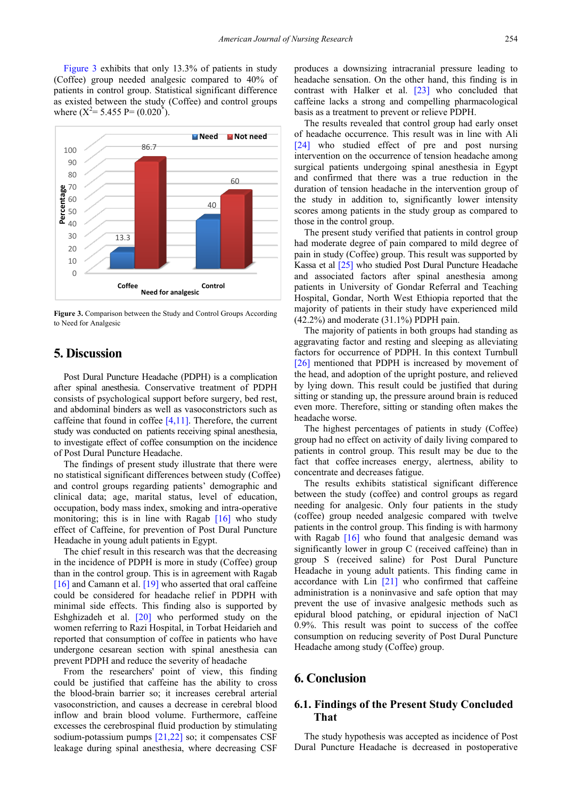[Figure 3](#page-6-0) exhibits that only 13.3% of patients in study (Coffee) group needed analgesic compared to 40% of patients in control group. Statistical significant difference as existed between the study (Coffee) and control groups where  $(X^2 = 5.455 P = (0.020^*)$ .

<span id="page-6-0"></span>

**Figure 3.** Comparison between the Study and Control Groups According to Need for Analgesic

# **5. Discussion**

Post Dural Puncture Headache (PDPH) is a complication after spinal anesthesia. Conservative treatment of PDPH consists of psychological support before surgery, bed rest, and abdominal binders as well as vasoconstrictors such as caffeine that found in coffee  $[4,11]$ . Therefore, the current study was conducted on patients receiving spinal anesthesia, to investigate effect of coffee consumption on the incidence of Post Dural Puncture Headache.

The findings of present study illustrate that there were no statistical significant differences between study (Coffee) and control groups regarding patients' demographic and clinical data; age, marital status, level of education, occupation, body mass index, smoking and intra-operative monitoring; this is in line with Ragab  $[16]$  who study effect of Caffeine, for prevention of Post Dural Puncture Headache in young adult patients in Egypt.

The chief result in this research was that the decreasing in the incidence of PDPH is more in study (Coffee) group than in the control group. This is in agreement with Ragab [\[16\]](#page-7-12) and Camann et al[. \[19\]](#page-7-15) who asserted that oral caffeine could be considered for headache relief in PDPH with minimal side effects. This finding also is supported by Eshghizadeh et al. [\[20\]](#page-7-16) who performed study on the women referring to Razi Hospital, in Torbat Heidarieh and reported that consumption of coffee in patients who have undergone cesarean section with spinal anesthesia can prevent PDPH and reduce the severity of headache

From the researchers' point of view, this finding could be justified that caffeine has the ability to cross the blood-brain barrier so; it increases cerebral arterial vasoconstriction, and causes a decrease in cerebral blood inflow and brain blood volume. Furthermore, caffeine excesses the cerebrospinal fluid production by stimulating sodium-potassium pumps [\[21,22\]](#page-7-17) so; it compensates CSF leakage during spinal anesthesia, where decreasing CSF

produces a downsizing intracranial pressure leading to headache sensation. On the other hand, this finding is in contrast with Halker et al. [\[23\]](#page-7-18) who concluded that caffeine lacks a strong and compelling pharmacological basis as a treatment to prevent or relieve PDPH.

The results revealed that control group had early onset of headache occurrence. This result was in line with Ali [\[24\]](#page-7-19) who studied effect of pre and post nursing intervention on the occurrence of tension headache among surgical patients undergoing spinal anesthesia in Egypt and confirmed that there was a true reduction in the duration of tension headache in the intervention group of the study in addition to, significantly lower intensity scores among patients in the study group as compared to those in the control group.

The present study verified that patients in control group had moderate degree of pain compared to mild degree of pain in study (Coffee) group. This result was supported by Kassa et al [\[25\]](#page-7-20) who studied Post Dural Puncture Headache and associated factors after spinal anesthesia among patients in University of Gondar Referral and Teaching Hospital, Gondar, North West Ethiopia reported that the majority of patients in their study have experienced mild (42.2%) and moderate (31.1%) PDPH pain.

The majority of patients in both groups had standing as aggravating factor and resting and sleeping as alleviating factors for occurrence of PDPH. In this context Turnbull [\[26\]](#page-7-21) mentioned that PDPH is increased by movement of the head, and adoption of the upright posture, and relieved by lying down. This result could be justified that during sitting or standing up, the pressure around brain is reduced even more. Therefore, sitting or standing often makes the headache worse.

The highest percentages of patients in study (Coffee) group had no effect on activity of daily living compared to patients in control group. This result may be due to the fact that coffee increases energy, alertness, ability to concentrate and decreases fatigue.

The results exhibits statistical significant difference between the study (coffee) and control groups as regard needing for analgesic. Only four patients in the study (coffee) group needed analgesic compared with twelve patients in the control group. This finding is with harmony with Ragab [\[16\]](#page-7-12) who found that analgesic demand was significantly lower in group C (received caffeine) than in group S (received saline) for Post Dural Puncture Headache in young adult patients. This finding came in accordance with  $Lin$   $[21]$  who confirmed that caffeine administration is a noninvasive and safe option that may prevent the use of invasive analgesic methods such as epidural blood patching, or epidural injection of NaCl 0.9%. This result was point to success of the coffee consumption on reducing severity of Post Dural Puncture Headache among study (Coffee) group.

# **6. Conclusion**

# **6.1. Findings of the Present Study Concluded That**

The study hypothesis was accepted as incidence of Post Dural Puncture Headache is decreased in postoperative